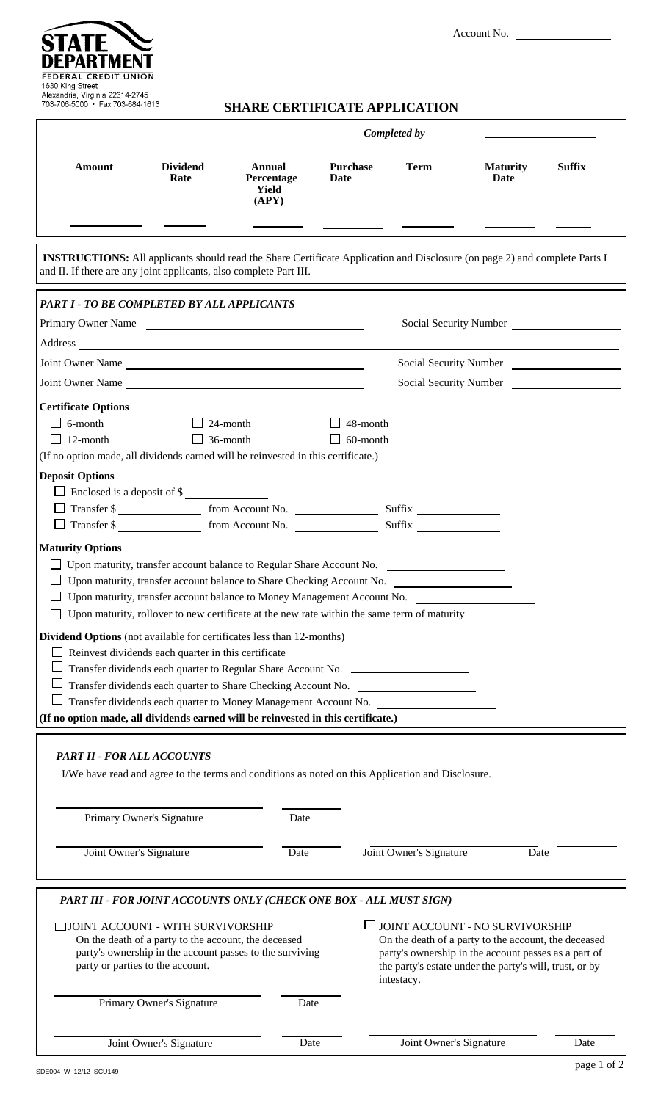Account No.



# **SHARE CERTIFICATE APPLICATION**

|                                                                                                                                                                                                                                                                                                                                                                                                                                                                                                                                                                                                                                                     |                                    |                                               |                         | Completed by                                                                                                                                                                                                               |                         |               |
|-----------------------------------------------------------------------------------------------------------------------------------------------------------------------------------------------------------------------------------------------------------------------------------------------------------------------------------------------------------------------------------------------------------------------------------------------------------------------------------------------------------------------------------------------------------------------------------------------------------------------------------------------------|------------------------------------|-----------------------------------------------|-------------------------|----------------------------------------------------------------------------------------------------------------------------------------------------------------------------------------------------------------------------|-------------------------|---------------|
| <b>Amount</b>                                                                                                                                                                                                                                                                                                                                                                                                                                                                                                                                                                                                                                       | <b>Dividend</b><br>Rate            | <b>Annual</b><br>Percentage<br>Yield<br>(APY) | <b>Purchase</b><br>Date | <b>Term</b>                                                                                                                                                                                                                | <b>Maturity</b><br>Date | <b>Suffix</b> |
|                                                                                                                                                                                                                                                                                                                                                                                                                                                                                                                                                                                                                                                     |                                    |                                               |                         |                                                                                                                                                                                                                            |                         |               |
| <b>INSTRUCTIONS:</b> All applicants should read the Share Certificate Application and Disclosure (on page 2) and complete Parts I<br>and II. If there are any joint applicants, also complete Part III.                                                                                                                                                                                                                                                                                                                                                                                                                                             |                                    |                                               |                         |                                                                                                                                                                                                                            |                         |               |
| PART I - TO BE COMPLETED BY ALL APPLICANTS                                                                                                                                                                                                                                                                                                                                                                                                                                                                                                                                                                                                          |                                    |                                               |                         |                                                                                                                                                                                                                            |                         |               |
| Primary Owner Name<br>Social Security Number                                                                                                                                                                                                                                                                                                                                                                                                                                                                                                                                                                                                        |                                    |                                               |                         |                                                                                                                                                                                                                            |                         |               |
|                                                                                                                                                                                                                                                                                                                                                                                                                                                                                                                                                                                                                                                     |                                    |                                               |                         |                                                                                                                                                                                                                            |                         |               |
| Joint Owner Name                                                                                                                                                                                                                                                                                                                                                                                                                                                                                                                                                                                                                                    |                                    |                                               |                         |                                                                                                                                                                                                                            | Social Security Number  |               |
| Joint Owner Name                                                                                                                                                                                                                                                                                                                                                                                                                                                                                                                                                                                                                                    |                                    |                                               |                         | Social Security Number                                                                                                                                                                                                     |                         |               |
| <b>Certificate Options</b>                                                                                                                                                                                                                                                                                                                                                                                                                                                                                                                                                                                                                          |                                    |                                               |                         |                                                                                                                                                                                                                            |                         |               |
| $\Box$ 6-month<br>$\Box$ 12-month<br>(If no option made, all dividends earned will be reinvested in this certificate.)                                                                                                                                                                                                                                                                                                                                                                                                                                                                                                                              | $\Box$ 24-month<br>$\Box$ 36-month |                                               | 48-month<br>60-month    |                                                                                                                                                                                                                            |                         |               |
| <b>Deposit Options</b>                                                                                                                                                                                                                                                                                                                                                                                                                                                                                                                                                                                                                              |                                    |                                               |                         |                                                                                                                                                                                                                            |                         |               |
| $\Box$ Enclosed is a deposit of \$                                                                                                                                                                                                                                                                                                                                                                                                                                                                                                                                                                                                                  |                                    |                                               |                         |                                                                                                                                                                                                                            |                         |               |
| Transfer \$<br>Transfer \$                                                                                                                                                                                                                                                                                                                                                                                                                                                                                                                                                                                                                          |                                    |                                               |                         |                                                                                                                                                                                                                            |                         |               |
|                                                                                                                                                                                                                                                                                                                                                                                                                                                                                                                                                                                                                                                     |                                    |                                               |                         | Suffix                                                                                                                                                                                                                     |                         |               |
| <b>Maturity Options</b><br>Upon maturity, transfer account balance to Money Management Account No.<br>$\Box$ Upon maturity, rollover to new certificate at the new rate within the same term of maturity<br><b>Dividend Options</b> (not available for certificates less than 12-months)<br>Reinvest dividends each quarter in this certificate<br>Transfer dividends each quarter to Regular Share Account No. __________<br>Transfer dividends each quarter to Share Checking Account No.<br>Transfer dividends each quarter to Money Management Account No.<br>(If no option made, all dividends earned will be reinvested in this certificate.) |                                    |                                               |                         |                                                                                                                                                                                                                            |                         |               |
|                                                                                                                                                                                                                                                                                                                                                                                                                                                                                                                                                                                                                                                     |                                    |                                               |                         |                                                                                                                                                                                                                            |                         |               |
| <b>PART II - FOR ALL ACCOUNTS</b><br>I/We have read and agree to the terms and conditions as noted on this Application and Disclosure.<br>Primary Owner's Signature<br>Date                                                                                                                                                                                                                                                                                                                                                                                                                                                                         |                                    |                                               |                         |                                                                                                                                                                                                                            |                         |               |
| Joint Owner's Signature                                                                                                                                                                                                                                                                                                                                                                                                                                                                                                                                                                                                                             |                                    | Date                                          |                         | Joint Owner's Signature                                                                                                                                                                                                    | Date                    |               |
|                                                                                                                                                                                                                                                                                                                                                                                                                                                                                                                                                                                                                                                     |                                    |                                               |                         |                                                                                                                                                                                                                            |                         |               |
| PART III - FOR JOINT ACCOUNTS ONLY (CHECK ONE BOX - ALL MUST SIGN)                                                                                                                                                                                                                                                                                                                                                                                                                                                                                                                                                                                  |                                    |                                               |                         |                                                                                                                                                                                                                            |                         |               |
| □ JOINT ACCOUNT - WITH SURVIVORSHIP<br>On the death of a party to the account, the deceased<br>party's ownership in the account passes to the surviving<br>party or parties to the account.                                                                                                                                                                                                                                                                                                                                                                                                                                                         |                                    |                                               |                         | └ JOINT ACCOUNT - NO SURVIVORSHIP<br>On the death of a party to the account, the deceased<br>party's ownership in the account passes as a part of<br>the party's estate under the party's will, trust, or by<br>intestacy. |                         |               |
|                                                                                                                                                                                                                                                                                                                                                                                                                                                                                                                                                                                                                                                     | Primary Owner's Signature          | Date                                          |                         |                                                                                                                                                                                                                            |                         |               |
|                                                                                                                                                                                                                                                                                                                                                                                                                                                                                                                                                                                                                                                     | Joint Owner's Signature            | Date                                          |                         | Joint Owner's Signature                                                                                                                                                                                                    |                         | Date          |